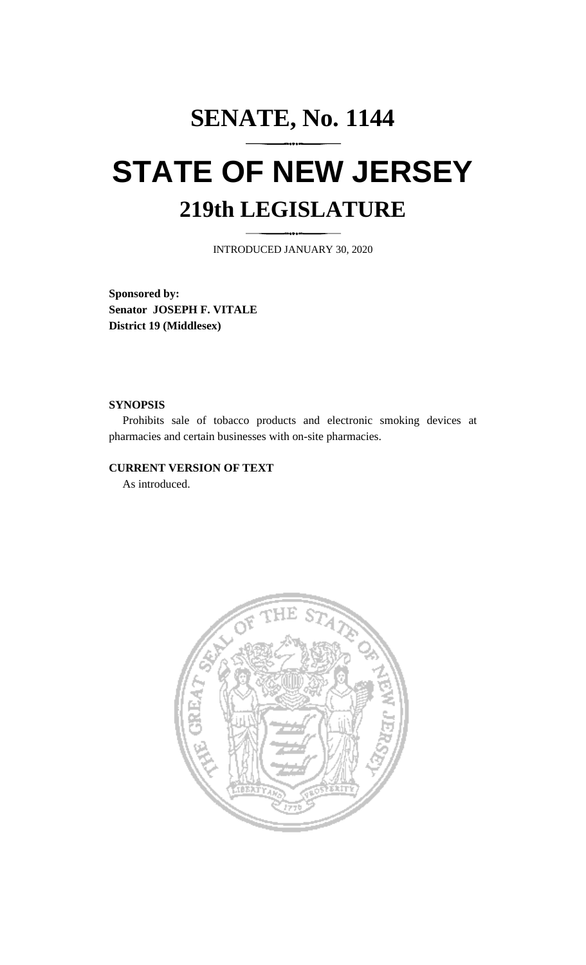## **SENATE, No. 1144 STATE OF NEW JERSEY 219th LEGISLATURE**

INTRODUCED JANUARY 30, 2020

**Sponsored by: Senator JOSEPH F. VITALE District 19 (Middlesex)**

## **SYNOPSIS**

Prohibits sale of tobacco products and electronic smoking devices at pharmacies and certain businesses with on-site pharmacies.

## **CURRENT VERSION OF TEXT**

As introduced.

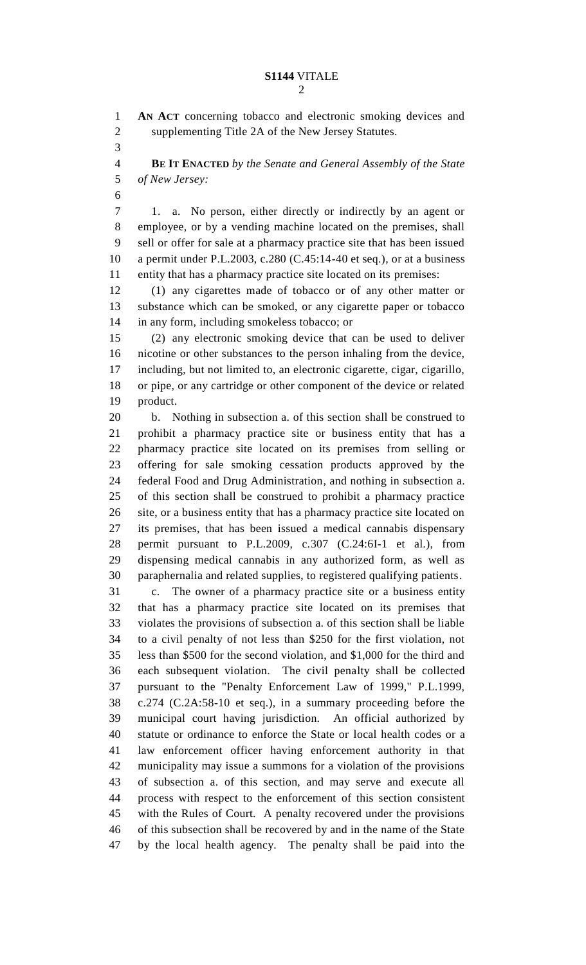## **S1144** VITALE

**AN ACT** concerning tobacco and electronic smoking devices and

 supplementing Title 2A of the New Jersey Statutes. **BE IT ENACTED** *by the Senate and General Assembly of the State of New Jersey:* 1. a. No person, either directly or indirectly by an agent or employee, or by a vending machine located on the premises, shall sell or offer for sale at a pharmacy practice site that has been issued a permit under P.L.2003, c.280 (C.45:14-40 et seq.), or at a business entity that has a pharmacy practice site located on its premises: (1) any cigarettes made of tobacco or of any other matter or substance which can be smoked, or any cigarette paper or tobacco in any form, including smokeless tobacco; or (2) any electronic smoking device that can be used to deliver nicotine or other substances to the person inhaling from the device, including, but not limited to, an electronic cigarette, cigar, cigarillo, or pipe, or any cartridge or other component of the device or related product. b. Nothing in subsection a. of this section shall be construed to prohibit a pharmacy practice site or business entity that has a pharmacy practice site located on its premises from selling or offering for sale smoking cessation products approved by the federal Food and Drug Administration, and nothing in subsection a. of this section shall be construed to prohibit a pharmacy practice site, or a business entity that has a pharmacy practice site located on its premises, that has been issued a medical cannabis dispensary permit pursuant to P.L.2009, c.307 (C.24:6I-1 et al.), from dispensing medical cannabis in any authorized form, as well as paraphernalia and related supplies, to registered qualifying patients. c. The owner of a pharmacy practice site or a business entity that has a pharmacy practice site located on its premises that violates the provisions of subsection a. of this section shall be liable to a civil penalty of not less than \$250 for the first violation, not less than \$500 for the second violation, and \$1,000 for the third and each subsequent violation. The civil penalty shall be collected pursuant to the "Penalty Enforcement Law of 1999," P.L.1999, c.274 (C.2A:58-10 et seq.), in a summary proceeding before the municipal court having jurisdiction. An official authorized by statute or ordinance to enforce the State or local health codes or a law enforcement officer having enforcement authority in that municipality may issue a summons for a violation of the provisions of subsection a. of this section, and may serve and execute all process with respect to the enforcement of this section consistent with the Rules of Court. A penalty recovered under the provisions of this subsection shall be recovered by and in the name of the State by the local health agency. The penalty shall be paid into the